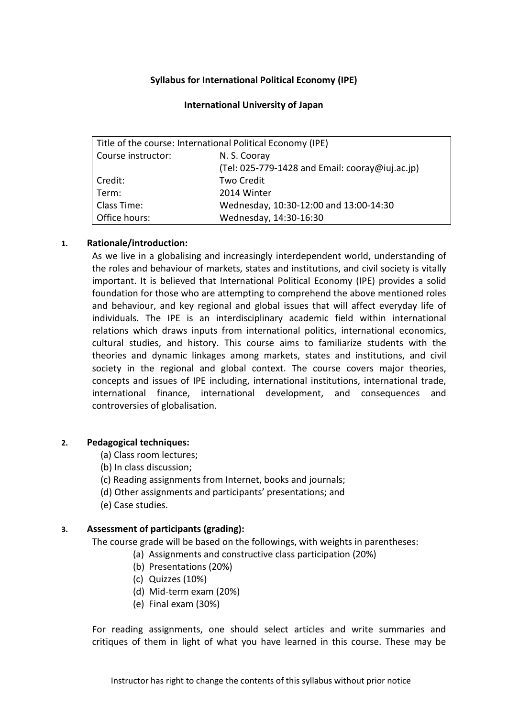## **Syllabus for International Political Economy (IPE)**

## **International University of Japan**

| Title of the course: International Political Economy (IPE) |                                                 |
|------------------------------------------------------------|-------------------------------------------------|
| Course instructor:                                         | N. S. Cooray                                    |
|                                                            | (Tel: 025-779-1428 and Email: cooray@iuj.ac.jp) |
| Credit:                                                    | <b>Two Credit</b>                               |
| Term:                                                      | 2014 Winter                                     |
| Class Time:                                                | Wednesday, 10:30-12:00 and 13:00-14:30          |
| Office hours:                                              | Wednesday, 14:30-16:30                          |

## **1. Rationale/introduction:**

As we live in a globalising and increasingly interdependent world, understanding of the roles and behaviour of markets, states and institutions, and civil society is vitally important. It is believed that International Political Economy (IPE) provides a solid foundation for those who are attempting to comprehend the above mentioned roles and behaviour, and key regional and global issues that will affect everyday life of individuals. The IPE is an interdisciplinary academic field within international relations which draws inputs from international politics, international economics, cultural studies, and history. This course aims to familiarize students with the theories and dynamic linkages among markets, states and institutions, and civil society in the regional and global context. The course covers major theories, concepts and issues of IPE including, international institutions, international trade, international finance, international development, and consequences and controversies of globalisation.

## **2. Pedagogical techniques:**

- (a) Class room lectures;
- (b) In class discussion;
- (c) Reading assignments from Internet, books and journals;
- (d) Other assignments and participants' presentations; and
- (e) Case studies.

## **3. Assessment of participants (grading):**

The course grade will be based on the followings, with weights in parentheses:

- (a) Assignments and constructive class participation (20%)
- (b) Presentations (20%)
- (c) Quizzes (10%)
- (d) Mid-term exam (20%)
- (e) Final exam (30%)

For reading assignments, one should select articles and write summaries and critiques of them in light of what you have learned in this course. These may be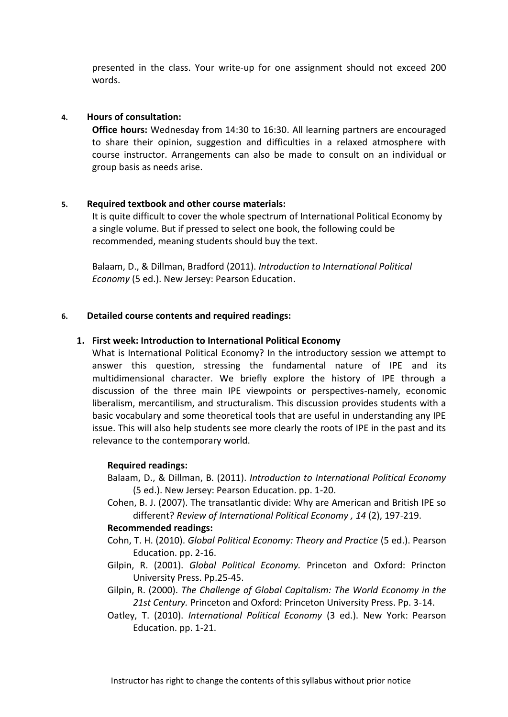presented in the class. Your write-up for one assignment should not exceed 200 words.

## **4. Hours of consultation:**

**Office hours:** Wednesday from 14:30 to 16:30. All learning partners are encouraged to share their opinion, suggestion and difficulties in a relaxed atmosphere with course instructor. Arrangements can also be made to consult on an individual or group basis as needs arise.

## **5. Required textbook and other course materials:**

It is quite difficult to cover the whole spectrum of International Political Economy by a single volume. But if pressed to select one book, the following could be recommended, meaning students should buy the text.

Balaam, D., & Dillman, Bradford (2011). *Introduction to International Political Economy* (5 ed.). New Jersey: Pearson Education.

## **6. Detailed course contents and required readings:**

## **1. First week: Introduction to International Political Economy**

What is International Political Economy? In the introductory session we attempt to answer this question, stressing the fundamental nature of IPE and its multidimensional character. We briefly explore the history of IPE through a discussion of the three main IPE viewpoints or perspectives-namely, economic liberalism, mercantilism, and structuralism. This discussion provides students with a basic vocabulary and some theoretical tools that are useful in understanding any IPE issue. This will also help students see more clearly the roots of IPE in the past and its relevance to the contemporary world.

## **Required readings:**

Balaam, D., & Dillman, B. (2011). *Introduction to International Political Economy* (5 ed.). New Jersey: Pearson Education. pp. 1-20.

Cohen, B. J. (2007). The transatlantic divide: Why are American and British IPE so different? *Review of International Political Economy , 14* (2), 197-219.

## **Recommended readings:**

- Cohn, T. H. (2010). *Global Political Economy: Theory and Practice* (5 ed.). Pearson Education. pp. 2-16.
- Gilpin, R. (2001). *Global Political Economy.* Princeton and Oxford: Princton University Press. Pp.25-45.
- Gilpin, R. (2000). *The Challenge of Global Capitalism: The World Economy in the 21st Century.* Princeton and Oxford: Princeton University Press. Pp. 3-14.
- Oatley, T. (2010). *International Political Economy* (3 ed.). New York: Pearson Education. pp. 1-21.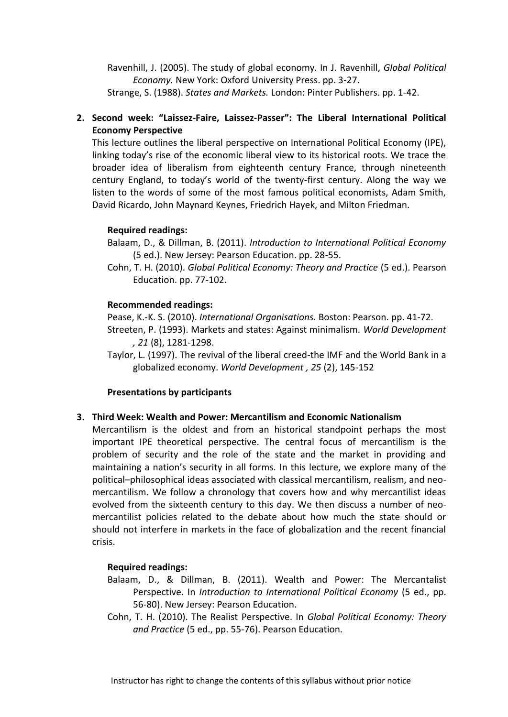Ravenhill, J. (2005). The study of global economy. In J. Ravenhill, *Global Political Economy.* New York: Oxford University Press. pp. 3-27. Strange, S. (1988). *States and Markets.* London: Pinter Publishers. pp. 1-42.

# **2. Second week: "Laissez-Faire, Laissez-Passer": The Liberal International Political Economy Perspective**

This lecture outlines the liberal perspective on International Political Economy (IPE), linking today's rise of the economic liberal view to its historical roots. We trace the broader idea of liberalism from eighteenth century France, through nineteenth century England, to today's world of the twenty-first century. Along the way we listen to the words of some of the most famous political economists, Adam Smith, David Ricardo, John Maynard Keynes, Friedrich Hayek, and Milton Friedman.

## **Required readings:**

Balaam, D., & Dillman, B. (2011). *Introduction to International Political Economy* (5 ed.). New Jersey: Pearson Education. pp. 28-55.

Cohn, T. H. (2010). *Global Political Economy: Theory and Practice* (5 ed.). Pearson Education. pp. 77-102.

## **Recommended readings:**

Pease, K.-K. S. (2010). *International Organisations.* Boston: Pearson. pp. 41-72.

- Streeten, P. (1993). Markets and states: Against minimalism. *World Development , 21* (8), 1281-1298.
- Taylor, L. (1997). The revival of the liberal creed-the IMF and the World Bank in a globalized economy. *World Development , 25* (2), 145-152

## **Presentations by participants**

## **3. Third Week: Wealth and Power: Mercantilism and Economic Nationalism**

Mercantilism is the oldest and from an historical standpoint perhaps the most important IPE theoretical perspective. The central focus of mercantilism is the problem of security and the role of the state and the market in providing and maintaining a nation's security in all forms. In this lecture, we explore many of the political–philosophical ideas associated with classical mercantilism, realism, and neomercantilism. We follow a chronology that covers how and why mercantilist ideas evolved from the sixteenth century to this day. We then discuss a number of neomercantilist policies related to the debate about how much the state should or should not interfere in markets in the face of globalization and the recent financial crisis.

## **Required readings:**

- Balaam, D., & Dillman, B. (2011). Wealth and Power: The Mercantalist Perspective. In *Introduction to International Political Economy* (5 ed., pp. 56-80). New Jersey: Pearson Education.
- Cohn, T. H. (2010). The Realist Perspective. In *Global Political Economy: Theory and Practice* (5 ed., pp. 55-76). Pearson Education.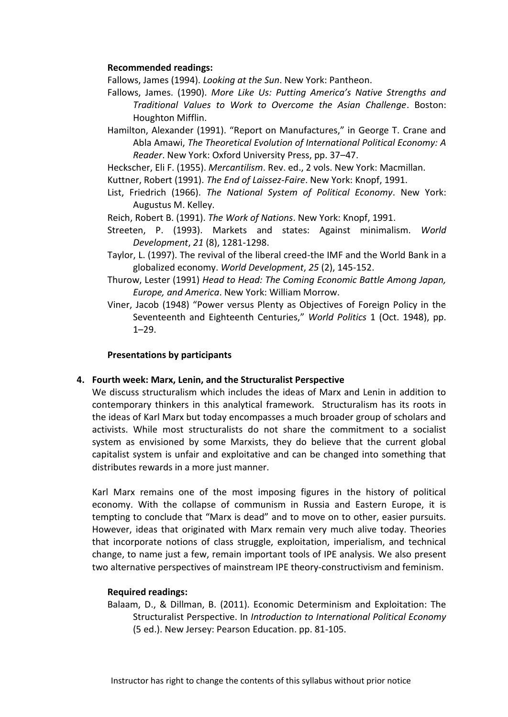### **Recommended readings:**

Fallows, James (1994). *Looking at the Sun*. New York: Pantheon.

- Fallows, James. (1990). *More Like Us: Putting America's Native Strengths and Traditional Values to Work to Overcome the Asian Challenge*. Boston: Houghton Mifflin.
- Hamilton, Alexander (1991). "Report on Manufactures," in George T. Crane and Abla Amawi, *The Theoretical Evolution of International Political Economy: A Reader*. New York: Oxford University Press, pp. 37–47.
- Heckscher, Eli F. (1955). *Mercantilism*. Rev. ed., 2 vols. New York: Macmillan.
- Kuttner, Robert (1991). *The End of Laissez-Faire*. New York: Knopf, 1991.
- List, Friedrich (1966). *The National System of Political Economy*. New York: Augustus M. Kelley.
- Reich, Robert B. (1991). *The Work of Nations*. New York: Knopf, 1991.
- Streeten, P. (1993). Markets and states: Against minimalism. *World Development*, *21* (8), 1281-1298.
- Taylor, L. (1997). The revival of the liberal creed-the IMF and the World Bank in a globalized economy. *World Development*, *25* (2), 145-152.
- Thurow, Lester (1991) *Head to Head: The Coming Economic Battle Among Japan, Europe, and America*. New York: William Morrow.
- Viner, Jacob (1948) "Power versus Plenty as Objectives of Foreign Policy in the Seventeenth and Eighteenth Centuries," *World Politics* 1 (Oct. 1948), pp. 1–29.

#### **Presentations by participants**

## **4. Fourth week: Marx, Lenin, and the Structuralist Perspective**

We discuss structuralism which includes the ideas of Marx and Lenin in addition to contemporary thinkers in this analytical framework. Structuralism has its roots in the ideas of Karl Marx but today encompasses a much broader group of scholars and activists. While most structuralists do not share the commitment to a socialist system as envisioned by some Marxists, they do believe that the current global capitalist system is unfair and exploitative and can be changed into something that distributes rewards in a more just manner.

Karl Marx remains one of the most imposing figures in the history of political economy. With the collapse of communism in Russia and Eastern Europe, it is tempting to conclude that "Marx is dead" and to move on to other, easier pursuits. However, ideas that originated with Marx remain very much alive today. Theories that incorporate notions of class struggle, exploitation, imperialism, and technical change, to name just a few, remain important tools of IPE analysis. We also present two alternative perspectives of mainstream IPE theory-constructivism and feminism.

#### **Required readings:**

Balaam, D., & Dillman, B. (2011). Economic Determinism and Exploitation: The Structuralist Perspective. In *Introduction to International Political Economy* (5 ed.). New Jersey: Pearson Education. pp. 81-105.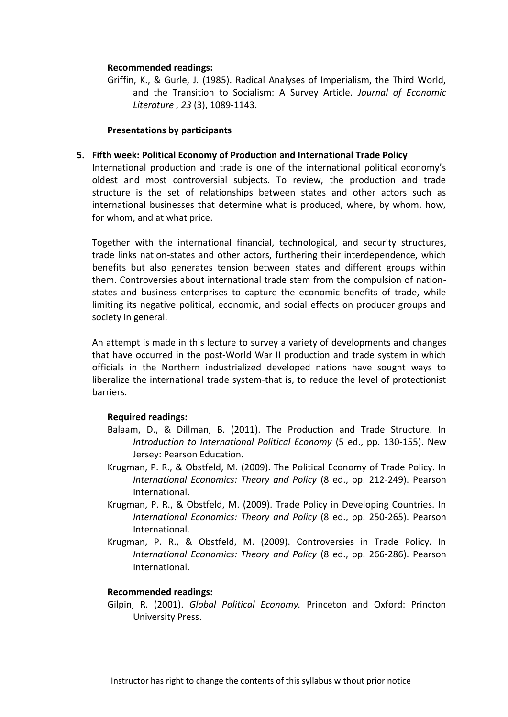#### **Recommended readings:**

Griffin, K., & Gurle, J. (1985). Radical Analyses of Imperialism, the Third World, and the Transition to Socialism: A Survey Article. *Journal of Economic Literature , 23* (3), 1089-1143.

#### **Presentations by participants**

### **5. Fifth week: Political Economy of Production and International Trade Policy**

International production and trade is one of the international political economy's oldest and most controversial subjects. To review, the production and trade structure is the set of relationships between states and other actors such as international businesses that determine what is produced, where, by whom, how, for whom, and at what price.

Together with the international financial, technological, and security structures, trade links nation-states and other actors, furthering their interdependence, which benefits but also generates tension between states and different groups within them. Controversies about international trade stem from the compulsion of nationstates and business enterprises to capture the economic benefits of trade, while limiting its negative political, economic, and social effects on producer groups and society in general.

An attempt is made in this lecture to survey a variety of developments and changes that have occurred in the post-World War II production and trade system in which officials in the Northern industrialized developed nations have sought ways to liberalize the international trade system-that is, to reduce the level of protectionist barriers.

#### **Required readings:**

- Balaam, D., & Dillman, B. (2011). The Production and Trade Structure. In *Introduction to International Political Economy* (5 ed., pp. 130-155). New Jersey: Pearson Education.
- Krugman, P. R., & Obstfeld, M. (2009). The Political Economy of Trade Policy. In *International Economics: Theory and Policy* (8 ed., pp. 212-249). Pearson International.
- Krugman, P. R., & Obstfeld, M. (2009). Trade Policy in Developing Countries. In *International Economics: Theory and Policy* (8 ed., pp. 250-265). Pearson International.
- Krugman, P. R., & Obstfeld, M. (2009). Controversies in Trade Policy. In *International Economics: Theory and Policy* (8 ed., pp. 266-286). Pearson International.

#### **Recommended readings:**

Gilpin, R. (2001). *Global Political Economy.* Princeton and Oxford: Princton University Press.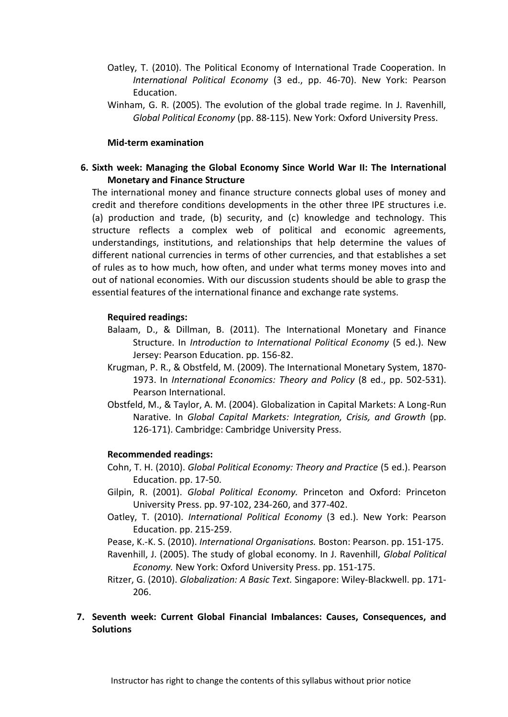- Oatley, T. (2010). The Political Economy of International Trade Cooperation. In *International Political Economy* (3 ed., pp. 46-70). New York: Pearson Education.
- Winham, G. R. (2005). The evolution of the global trade regime. In J. Ravenhill, *Global Political Economy* (pp. 88-115). New York: Oxford University Press.

#### **Mid-term examination**

## **6. Sixth week: Managing the Global Economy Since World War II: The International Monetary and Finance Structure**

The international money and finance structure connects global uses of money and credit and therefore conditions developments in the other three IPE structures i.e. (a) production and trade, (b) security, and (c) knowledge and technology. This structure reflects a complex web of political and economic agreements, understandings, institutions, and relationships that help determine the values of different national currencies in terms of other currencies, and that establishes a set of rules as to how much, how often, and under what terms money moves into and out of national economies. With our discussion students should be able to grasp the essential features of the international finance and exchange rate systems.

#### **Required readings:**

- Balaam, D., & Dillman, B. (2011). The International Monetary and Finance Structure. In *Introduction to International Political Economy* (5 ed.). New Jersey: Pearson Education. pp. 156-82.
- Krugman, P. R., & Obstfeld, M. (2009). The International Monetary System, 1870- 1973. In *International Economics: Theory and Policy* (8 ed., pp. 502-531). Pearson International.
- Obstfeld, M., & Taylor, A. M. (2004). Globalization in Capital Markets: A Long-Run Narative. In *Global Capital Markets: Integration, Crisis, and Growth* (pp. 126-171). Cambridge: Cambridge University Press.

#### **Recommended readings:**

- Cohn, T. H. (2010). *Global Political Economy: Theory and Practice* (5 ed.). Pearson Education. pp. 17-50.
- Gilpin, R. (2001). *Global Political Economy.* Princeton and Oxford: Princeton University Press. pp. 97-102, 234-260, and 377-402.
- Oatley, T. (2010). *International Political Economy* (3 ed.). New York: Pearson Education. pp. 215-259.
- Pease, K.-K. S. (2010). *International Organisations.* Boston: Pearson. pp. 151-175.
- Ravenhill, J. (2005). The study of global economy. In J. Ravenhill, *Global Political Economy.* New York: Oxford University Press. pp. 151-175.
- Ritzer, G. (2010). *Globalization: A Basic Text.* Singapore: Wiley-Blackwell. pp. 171- 206.

## **7. Seventh week: Current Global Financial Imbalances: Causes, Consequences, and Solutions**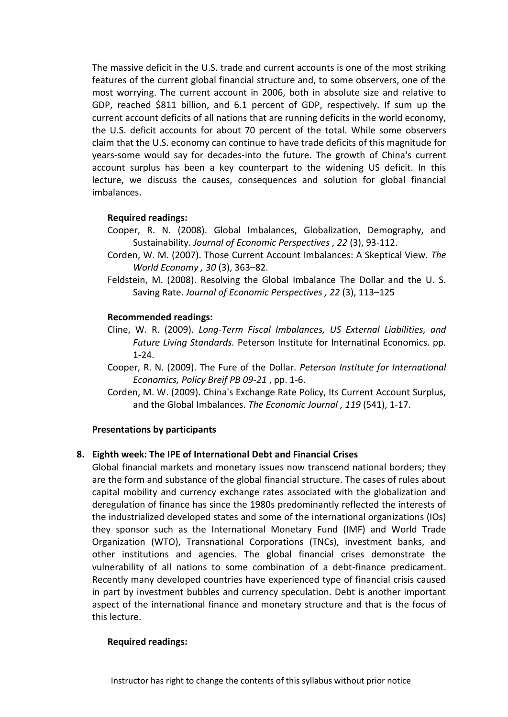The massive deficit in the U.S. trade and current accounts is one of the most striking features of the current global financial structure and, to some observers, one of the most worrying. The current account in 2006, both in absolute size and relative to GDP, reached \$811 billion, and 6.1 percent of GDP, respectively. If sum up the current account deficits of all nations that are running deficits in the world economy, the U.S. deficit accounts for about 70 percent of the total. While some observers claim that the U.S. economy can continue to have trade deficits of this magnitude for years-some would say for decades-into the future. The growth of China's current account surplus has been a key counterpart to the widening US deficit. In this lecture, we discuss the causes, consequences and solution for global financial imbalances.

## **Required readings:**

- Cooper, R. N. (2008). Global Imbalances, Globalization, Demography, and Sustainability. *Journal of Economic Perspectives , 22* (3), 93-112.
- Corden, W. M. (2007). Those Current Account Imbalances: A Skeptical View. *The World Economy , 30* (3), 363–82.
- Feldstein, M. (2008). Resolving the Global Imbalance The Dollar and the U. S. Saving Rate. *Journal of Economic Perspectives , 22* (3), 113–125

## **Recommended readings:**

- Cline, W. R. (2009). *Long-Term Fiscal Imbalances, US External Liabilities, and Future Living Standards.* Peterson Institute for Internatinal Economics. pp. 1-24.
- Cooper, R. N. (2009). The Fure of the Dollar. *Peterson Institute for International Economics, Policy Breif PB 09-21* , pp. 1-6.
- Corden, M. W. (2009). China's Exchange Rate Policy, Its Current Account Surplus, and the Global Imbalances. *The Economic Journal , 119* (541), 1-17.

## **Presentations by participants**

## **8. Eighth week: The IPE of International Debt and Financial Crises**

Global financial markets and monetary issues now transcend national borders; they are the form and substance of the global financial structure. The cases of rules about capital mobility and currency exchange rates associated with the globalization and deregulation of finance has since the 1980s predominantly reflected the interests of the industrialized developed states and some of the international organizations (IOs) they sponsor such as the International Monetary Fund (IMF) and World Trade Organization (WTO), Transnational Corporations (TNCs), investment banks, and other institutions and agencies. The global financial crises demonstrate the vulnerability of all nations to some combination of a debt-finance predicament. Recently many developed countries have experienced type of financial crisis caused in part by investment bubbles and currency speculation. Debt is another important aspect of the international finance and monetary structure and that is the focus of this lecture.

## **Required readings:**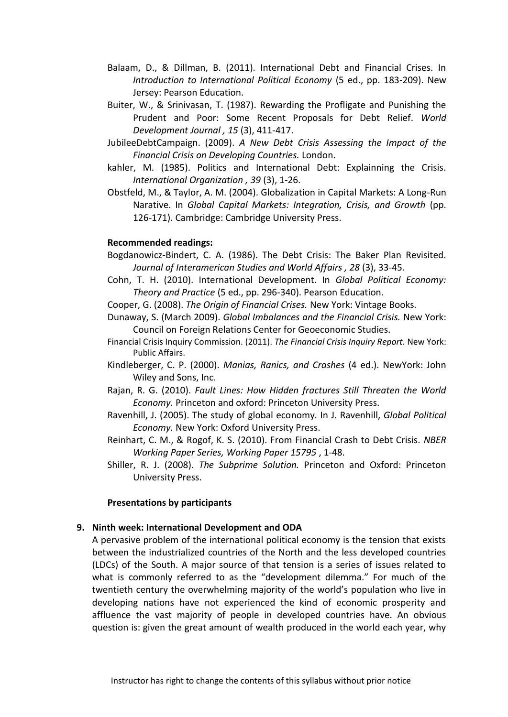- Balaam, D., & Dillman, B. (2011). International Debt and Financial Crises. In *Introduction to International Political Economy* (5 ed., pp. 183-209). New Jersey: Pearson Education.
- Buiter, W., & Srinivasan, T. (1987). Rewarding the Profligate and Punishing the Prudent and Poor: Some Recent Proposals for Debt Relief. *World Development Journal , 15* (3), 411-417.
- JubileeDebtCampaign. (2009). *A New Debt Crisis Assessing the Impact of the Financial Crisis on Developing Countries.* London.
- kahler, M. (1985). Politics and International Debt: Explainning the Crisis. *International Organization , 39* (3), 1-26.
- Obstfeld, M., & Taylor, A. M. (2004). Globalization in Capital Markets: A Long-Run Narative. In *Global Capital Markets: Integration, Crisis, and Growth* (pp. 126-171). Cambridge: Cambridge University Press.

#### **Recommended readings:**

- Bogdanowicz-Bindert, C. A. (1986). The Debt Crisis: The Baker Plan Revisited. *Journal of Interamerican Studies and World Affairs , 28* (3), 33-45.
- Cohn, T. H. (2010). International Development. In *Global Political Economy: Theory and Practice* (5 ed., pp. 296-340). Pearson Education.
- Cooper, G. (2008). *The Origin of Financial Crises.* New York: Vintage Books.
- Dunaway, S. (March 2009). *Global Imbalances and the Financial Crisis.* New York: Council on Foreign Relations Center for Geoeconomic Studies.
- Financial Crisis Inquiry Commission. (2011). *The Financial Crisis Inquiry Report.* New York: Public Affairs.
- Kindleberger, C. P. (2000). *Manias, Ranics, and Crashes* (4 ed.). NewYork: John Wiley and Sons, Inc.
- Rajan, R. G. (2010). *Fault Lines: How Hidden fractures Still Threaten the World Economy.* Princeton and oxford: Princeton University Press.
- Ravenhill, J. (2005). The study of global economy. In J. Ravenhill, *Global Political Economy.* New York: Oxford University Press.
- Reinhart, C. M., & Rogof, K. S. (2010). From Financial Crash to Debt Crisis. *NBER Working Paper Series, Working Paper 15795* , 1-48.
- Shiller, R. J. (2008). *The Subprime Solution.* Princeton and Oxford: Princeton University Press.

#### **Presentations by participants**

#### **9. Ninth week: International Development and ODA**

A pervasive problem of the international political economy is the tension that exists between the industrialized countries of the North and the less developed countries (LDCs) of the South. A major source of that tension is a series of issues related to what is commonly referred to as the "development dilemma." For much of the twentieth century the overwhelming majority of the world's population who live in developing nations have not experienced the kind of economic prosperity and affluence the vast majority of people in developed countries have. An obvious question is: given the great amount of wealth produced in the world each year, why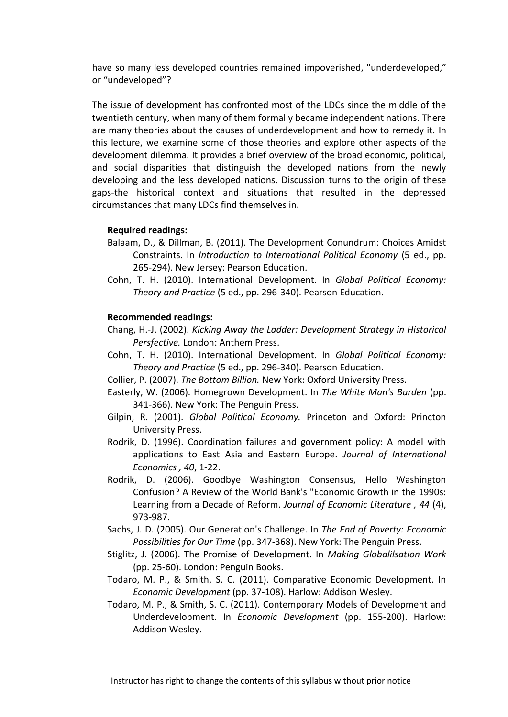have so many less developed countries remained impoverished, "underdeveloped," or "undeveloped"?

The issue of development has confronted most of the LDCs since the middle of the twentieth century, when many of them formally became independent nations. There are many theories about the causes of underdevelopment and how to remedy it. In this lecture, we examine some of those theories and explore other aspects of the development dilemma. It provides a brief overview of the broad economic, political, and social disparities that distinguish the developed nations from the newly developing and the less developed nations. Discussion turns to the origin of these gaps-the historical context and situations that resulted in the depressed circumstances that many LDCs find themselves in.

### **Required readings:**

- Balaam, D., & Dillman, B. (2011). The Development Conundrum: Choices Amidst Constraints. In *Introduction to International Political Economy* (5 ed., pp. 265-294). New Jersey: Pearson Education.
- Cohn, T. H. (2010). International Development. In *Global Political Economy: Theory and Practice* (5 ed., pp. 296-340). Pearson Education.

#### **Recommended readings:**

- Chang, H.-J. (2002). *Kicking Away the Ladder: Development Strategy in Historical Persfective.* London: Anthem Press.
- Cohn, T. H. (2010). International Development. In *Global Political Economy: Theory and Practice* (5 ed., pp. 296-340). Pearson Education.
- Collier, P. (2007). *The Bottom Billion.* New York: Oxford University Press.
- Easterly, W. (2006). Homegrown Development. In *The White Man's Burden* (pp. 341-366). New York: The Penguin Press.
- Gilpin, R. (2001). *Global Political Economy.* Princeton and Oxford: Princton University Press.
- Rodrik, D. (1996). Coordination failures and government policy: A model with applications to East Asia and Eastern Europe. *Journal of International Economics , 40*, 1-22.
- Rodrik, D. (2006). Goodbye Washington Consensus, Hello Washington Confusion? A Review of the World Bank's "Economic Growth in the 1990s: Learning from a Decade of Reform. *Journal of Economic Literature , 44* (4), 973-987.
- Sachs, J. D. (2005). Our Generation's Challenge. In *The End of Poverty: Economic Possibilities for Our Time* (pp. 347-368). New York: The Penguin Press.
- Stiglitz, J. (2006). The Promise of Development. In *Making Globalilsation Work* (pp. 25-60). London: Penguin Books.
- Todaro, M. P., & Smith, S. C. (2011). Comparative Economic Development. In *Economic Development* (pp. 37-108). Harlow: Addison Wesley.
- Todaro, M. P., & Smith, S. C. (2011). Contemporary Models of Development and Underdevelopment. In *Economic Development* (pp. 155-200). Harlow: Addison Wesley.